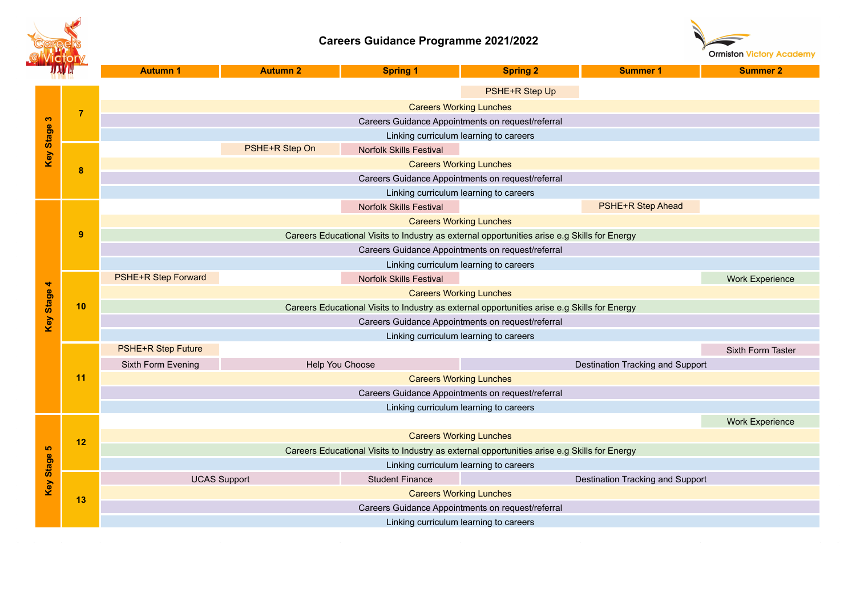

## **Careers Guidance Programme 2021/2022**



| ЛУЛ                    |                | <b>Autumn 1</b>                                                                                                                | <b>Autumn 2</b>     | <b>Spring 1</b>                | <b>Spring 2</b>                                                                              | <b>Summer 1</b>                  | <b>Summer 2</b>        |  |  |
|------------------------|----------------|--------------------------------------------------------------------------------------------------------------------------------|---------------------|--------------------------------|----------------------------------------------------------------------------------------------|----------------------------------|------------------------|--|--|
| Key Stage 3            | $\overline{7}$ |                                                                                                                                |                     |                                | PSHE+R Step Up                                                                               |                                  |                        |  |  |
|                        |                | <b>Careers Working Lunches</b>                                                                                                 |                     |                                |                                                                                              |                                  |                        |  |  |
|                        |                | Careers Guidance Appointments on request/referral                                                                              |                     |                                |                                                                                              |                                  |                        |  |  |
|                        |                | Linking curriculum learning to careers                                                                                         |                     |                                |                                                                                              |                                  |                        |  |  |
|                        | 8              |                                                                                                                                | PSHE+R Step On      | <b>Norfolk Skills Festival</b> |                                                                                              |                                  |                        |  |  |
|                        |                |                                                                                                                                |                     |                                | <b>Careers Working Lunches</b>                                                               |                                  |                        |  |  |
|                        |                | Careers Guidance Appointments on request/referral                                                                              |                     |                                |                                                                                              |                                  |                        |  |  |
|                        |                |                                                                                                                                |                     |                                | Linking curriculum learning to careers                                                       |                                  |                        |  |  |
|                        |                |                                                                                                                                |                     | <b>Norfolk Skills Festival</b> |                                                                                              | PSHE+R Step Ahead                |                        |  |  |
|                        | 9              | <b>Careers Working Lunches</b>                                                                                                 |                     |                                |                                                                                              |                                  |                        |  |  |
|                        |                |                                                                                                                                |                     |                                | Careers Educational Visits to Industry as external opportunities arise e.g Skills for Energy |                                  |                        |  |  |
|                        |                |                                                                                                                                |                     |                                | Careers Guidance Appointments on request/referral                                            |                                  |                        |  |  |
|                        |                |                                                                                                                                |                     |                                | Linking curriculum learning to careers                                                       |                                  |                        |  |  |
|                        |                | PSHE+R Step Forward                                                                                                            |                     | <b>Norfolk Skills Festival</b> |                                                                                              |                                  | <b>Work Experience</b> |  |  |
|                        | 10             | <b>Careers Working Lunches</b>                                                                                                 |                     |                                |                                                                                              |                                  |                        |  |  |
| <b>Key Stage 4</b>     |                | Careers Educational Visits to Industry as external opportunities arise e.g Skills for Energy                                   |                     |                                |                                                                                              |                                  |                        |  |  |
|                        |                | Careers Guidance Appointments on request/referral                                                                              |                     |                                |                                                                                              |                                  |                        |  |  |
|                        |                | Linking curriculum learning to careers                                                                                         |                     |                                |                                                                                              |                                  |                        |  |  |
|                        |                | PSHE+R Step Future                                                                                                             |                     |                                |                                                                                              |                                  | Sixth Form Taster      |  |  |
|                        |                | Sixth Form Evening                                                                                                             |                     | Help You Choose                |                                                                                              | Destination Tracking and Support |                        |  |  |
|                        | 11             | <b>Careers Working Lunches</b><br>Careers Guidance Appointments on request/referral                                            |                     |                                |                                                                                              |                                  |                        |  |  |
|                        |                |                                                                                                                                |                     |                                |                                                                                              |                                  |                        |  |  |
|                        |                |                                                                                                                                |                     |                                | Linking curriculum learning to careers                                                       |                                  | <b>Work Experience</b> |  |  |
| ဖာ<br><b>Key Stage</b> | 12             |                                                                                                                                |                     |                                |                                                                                              |                                  |                        |  |  |
|                        |                | <b>Careers Working Lunches</b><br>Careers Educational Visits to Industry as external opportunities arise e.g Skills for Energy |                     |                                |                                                                                              |                                  |                        |  |  |
|                        |                | Linking curriculum learning to careers                                                                                         |                     |                                |                                                                                              |                                  |                        |  |  |
|                        | 13             |                                                                                                                                | <b>UCAS Support</b> | <b>Student Finance</b>         |                                                                                              | Destination Tracking and Support |                        |  |  |
|                        |                |                                                                                                                                |                     |                                | <b>Careers Working Lunches</b>                                                               |                                  |                        |  |  |
|                        |                | Careers Guidance Appointments on request/referral                                                                              |                     |                                |                                                                                              |                                  |                        |  |  |
|                        |                |                                                                                                                                |                     |                                | Linking curriculum learning to careers                                                       |                                  |                        |  |  |